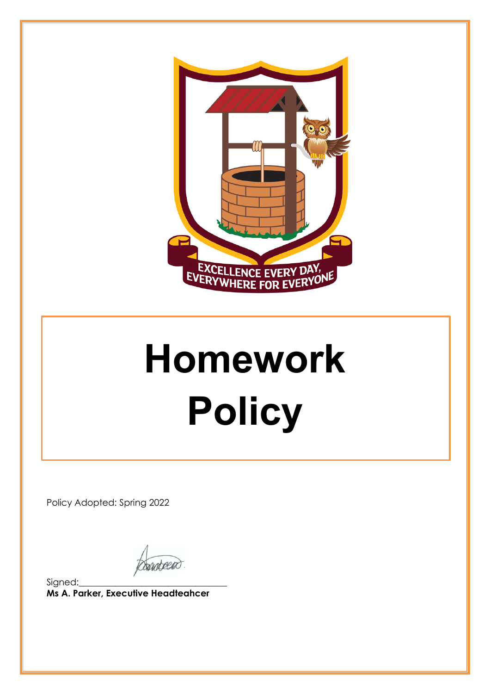

# **Homework Policy**

Policy Adopted: Spring 2022

**Sundagen** 

Signed:\_\_\_\_\_\_\_\_\_\_\_\_\_\_\_\_\_\_\_\_\_\_\_\_\_\_\_\_\_\_\_\_\_ **Ms A. Parker, Executive Headteahcer**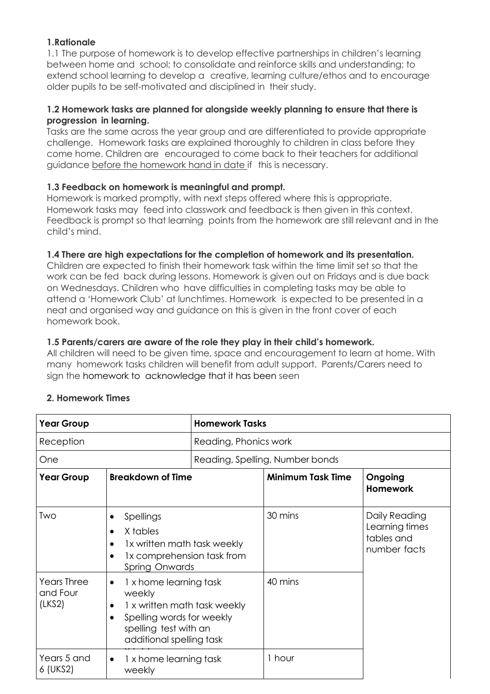# **1.Rationale**

1.1 The purpose of homework is to develop effective partnerships in children's learning between home and school; to consolidate and reinforce skills and understanding; to extend school learning to develop a creative, learning culture/ethos and to encourage older pupils to be self-motivated and disciplined in their study.

### **1.2 Homework tasks are planned for alongside weekly planning to ensure that there is progression in learning.**

Tasks are the same across the year group and are differentiated to provide appropriate challenge. Homework tasks are explained thoroughly to children in class before they come home. Children are encouraged to come back to their teachers for additional guidance before the homework hand in date if this is necessary.

### **1.3 Feedback on homework is meaningful and prompt.**

Homework is marked promptly, with next steps offered where this is appropriate. Homework tasks may feed into classwork and feedback is then given in this context. Feedback is prompt so that learning points from the homework are still relevant and in the child's mind.

### **1.4 There are high expectations for the completion of homework and its presentation.**

Children are expected to finish their homework task within the time limit set so that the work can be fed back during lessons. Homework is given out on Fridays and is due back on Wednesdays. Children who have difficulties in completing tasks may be able to attend a 'Homework Club' at lunchtimes. Homework is expected to be presented in a neat and organised way and guidance on this is given in the front cover of each homework book.

## **1.5 Parents/carers are aware of the role they play in their child's homework.**

All children will need to be given time, space and encouragement to learn at home. With many homework tasks children will benefit from adult support. Parents/Carers need to sign the homework to acknowledge that it has been seen

| <b>Year Group</b><br>Reception<br>One    |                                                                                                                                                                              | <b>Homework Tasks</b><br>Reading, Phonics work<br>Reading, Spelling, Number bonds |         |  |                   |                                                                                                                                     |  |                          |                                                               |
|------------------------------------------|------------------------------------------------------------------------------------------------------------------------------------------------------------------------------|-----------------------------------------------------------------------------------|---------|--|-------------------|-------------------------------------------------------------------------------------------------------------------------------------|--|--------------------------|---------------------------------------------------------------|
|                                          |                                                                                                                                                                              |                                                                                   |         |  | <b>Year Group</b> | <b>Breakdown of Time</b>                                                                                                            |  | <b>Minimum Task Time</b> | Ongoing<br><b>Homework</b>                                    |
|                                          |                                                                                                                                                                              |                                                                                   |         |  | Two               | Spellings<br>٠<br>X tables<br>$\bullet$<br>1x written math task weekly<br>1x comprehension task from<br>$\bullet$<br>Spring Onwards |  | 30 mins                  | Daily Reading<br>Learning times<br>tables and<br>number facts |
| <b>Years Three</b><br>and Four<br>(LKS2) | 1 x home learning task<br>$\bullet$<br>weekly<br>1 x written math task weekly<br>Spelling words for weekly<br>$\bullet$<br>spelling test with an<br>additional spelling task |                                                                                   | 40 mins |  |                   |                                                                                                                                     |  |                          |                                                               |
| Years 5 and<br>6 (UKS2)                  | 1 x home learning task<br>$\bullet$<br>weekly                                                                                                                                |                                                                                   | 1 hour  |  |                   |                                                                                                                                     |  |                          |                                                               |

# **2. Homework Times**